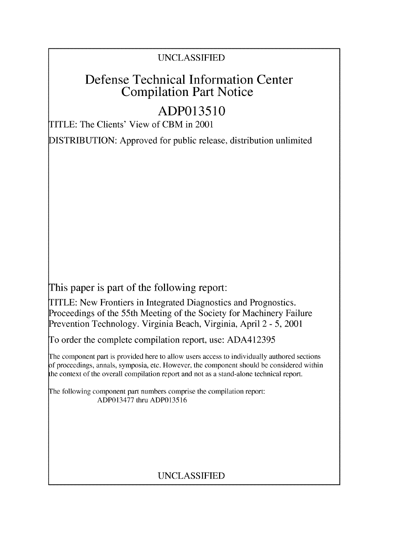#### UNCLASSIFIED

## Defense Technical Information Center Compilation Part Notice

# **ADP013510**

TITLE: The Clients' View of CBM in 2001

DISTRIBUTION: Approved for public release, distribution unlimited

This paper is part of the following report:

TITLE: New Frontiers in Integrated Diagnostics and Prognostics. Proceedings of the 55th Meeting of the Society for Machinery Failure Prevention Technology. Virginia Beach, Virginia, April 2 - 5, 2001

To order the complete compilation report, use: ADA412395

The component part is provided here to allow users access to individually authored sections **)f** proceedings, annals, symposia, etc. However, the component should be considered within [he context of the overall compilation report and not as a stand-alone technical report.

The following component part numbers comprise the compilation report: ADP013477 thru ADP013516

### UNCLASSIFIED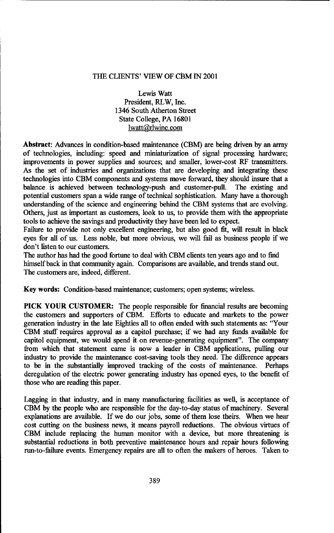#### THE CLIENTS' VIEW OF CBM IN 2001

Lewis Watt President, RLW, Inc. 1346 South Atherton Street State College, PA 16801 lwatt@rlwinc.com

Abstract: Advances in condition-based maintenance (CBM) are being driven by an array of technologies, including: speed and miniaturization of signal processing hardware; improvements in power supplies and sources; and smaller, lower-cost RF transmitters. As the set of industries and organizations that are developing and integrating these technologies into CBM components and systems move forward, they should insure that a balance is achieved between technology-push and customer-pull. The existing and potential customers span a wide range of technical sophistication. Many have a thorough understanding of the science and engineering behind the CBM systems that are evolving. Others, just as important as customers, look to us, to provide them with the appropriate tools to achieve the savings and productivity they have been led to expect.

Failure to provide not only excellent engineering, but also good fit, will result in black eyes for all of us. Less noble, but more obvious, we will fail as business people if we don't listen to our customers.

The author has had the good fortune to deal with CBM clients ten years ago and to find himself back in that community again. Comparisons are available, and trends stand out. The customers are, indeed, different.

Key words: Condition-based maintenance; customers; open systems; wireless.

PICK YOUR CUSTOMER: The people responsible for financial results are becoming the customers and supporters of CBM. Efforts to educate and markets to the power generation industry in the late Eighties all to often ended with such statements as: "Your CBM stuff requires approval as a capitol purchase; if we had any funds available for capitol equipment, we would spend it on revenue-generating equipment". The company from which that statement came is now a leader in CBM applications, pulling our industry to provide the maintenance cost-saving tools they need. The difference appears to be in the substantially improved tracking of the costs of maintenance. Perhaps deregulation of the electric power generating industry has opened eyes, to the benefit of those who are reading this paper.

Lagging in that industry, and in many manufacturing facilities as well, is acceptance of CBM by the people who are responsible for the day-to-day status of machinery. Several explanations are available. If we do our jobs, some of them lose theirs. When we hear cost cutting on the business news, it means payroll reductions. The obvious virtues of CBM include replacing the human monitor with a device, but more threatening is substantial reductions in both preventive maintenance hours and repair hours following run-to-failure events. Emergency repairs are all to often the makers of heroes. Taken to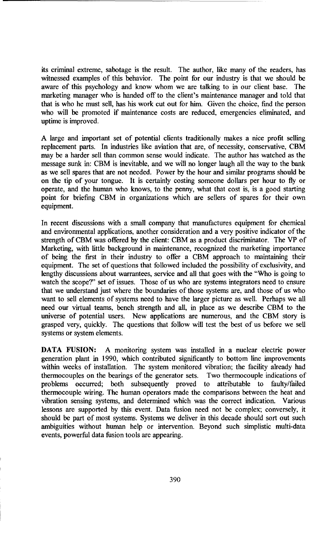its criminal extreme, sabotage is the result. The author, like many of the readers, has witnessed examples of this behavior. The point for our industry is that we should be aware of this psychology and know whom we are talking to in our client base. The marketing manager who is handed off to the client's maintenance manager and told that that is who he must sell, has his work cut out for him. Given the choice, find the person who will be promoted if maintenance costs are reduced, emergencies eliminated, and uptime is improved.

A large and important set of potential clients traditionally makes a nice profit selling replacement parts. In industries like aviation that are, of necessity, conservative, CBM may be a harder sell than common sense would indicate. The author has watched as the message sunk in: CBM is inevitable, and we will no longer laugh all the way to the bank as we sell spares that are not needed. Power by the hour and similar programs should be on the tip of your tongue. It is certainly costing someone dollars per hour to fly or operate, and the human who knows, to the penny, what that cost is, is a good starting point for briefing CBM in organizations which are sellers of spares for their own equipment.

In recent discussions with a small company that manufactures equipment for chemical and environmental applications, another consideration and a very positive indicator of the strength of CBM was offered by the client: CBM as a product discriminator. The VP of Marketing, with little background in maintenance, recognized the marketing importance of being the first in their industry to offer a CBM approach to maintaining their equipment. The set of questions that followed included the possibility of exclusivity, and lengthy discussions about warrantees, service and all that goes with the "Who is going to watch the scope?" set of issues. Those of us who are systems integrators need to ensure that we understand just where the boundaries of those systems are, and those of us who want to sell elements of systems need to have the larger picture as well. Perhaps we all need our virtual teams, bench strength and all, in place as we describe CBM to the universe of potential users. New applications are numerous, and the CBM story is grasped very, quickly. The questions that follow will test the best of us before we sell systems or system elements.

**DATA** FUSION: **A** monitoring system was installed in a nuclear electric power generation plant in 1990, which contributed significantly to bottom line improvements within weeks of installation. The system monitored vibration; the facility already had thermocouples on the bearings of the generator sets. Two thermocouple indications of problems occurred; both subsequently proved to attributable to faulty/failed thermocouple wiring. The human operators made the comparisons between the heat and vibration sensing systems, and determined which was the correct indication. Various lessons are supported by this event. Data fusion need not be complex; conversely, it should be part of most systems. Systems we deliver in this decade should sort out such ambiguities without human help or intervention. Beyond such simplistic multi-data events, powerful data fusion tools are appearing.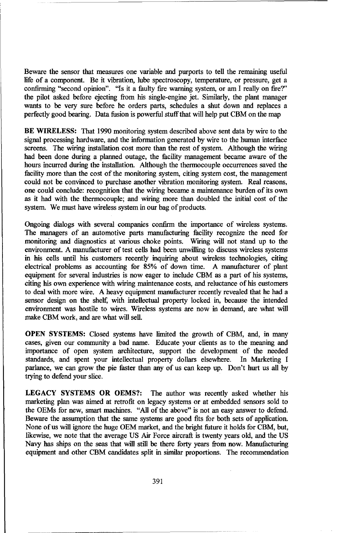Beware the sensor that measures one variable and purports to tell the remaining useful life of a component. Be it vibration, lube spectroscopy, temperature, or pressure, get a confirming "second opinion". "Is it a faulty fire warning system, or am I really on fire?" the pilot asked before ejecting from his single-engine jet. Similarly, the plant manager wants to be very sure before he orders parts, schedules a shut down and replaces a perfectly good bearing. Data fusion is powerful stuff that will help put CBM on the map

BE WIRELESS: That 1990 monitoring system described above sent data by wire to the signal processing hardware, and the information generated by wire to the human interface screens. The wiring installation cost more than the rest of system. Although the wiring had been done during a planned outage, the facility management became aware of the hours incurred during the installation. Although the thermocouple occurrences saved the facility more than the cost of the monitoring system, citing system cost, the management could not be convinced to purchase another vibration monitoring system. Real reasons, one could conclude: recognition that the wiring became a maintenance burden of its own as it had with the thermocouple; and wiring more than doubled the initial cost of the system. We must have wireless system in our bag of products.

Ongoing dialogs with several companies confirm the importance of wireless systems. The managers of an automotive parts manufacturing facility recognize the need for monitoring and diagnostics at various choke points. Wiring will not stand up to the environment. A manufacturer of test cells had been unwilling to discuss wireless systems in his cells until his customers recently inquiring about wireless technologies, citing electrical problems as accounting for 85% of down time. A manufacturer of plant equipment for several industries is now eager to include CBM as a part of his systems, citing his own experience with wiring maintenance costs, and reluctance of his customers to deal with more wire. A heavy equipment manufacturer recently revealed that he had a sensor design on the shelf, with intellectual property locked in, because the intended environment was hostile to wires. Wireless systems are now in demand, are what will make CBM work, and are what will sell.

OPEN SYSTEMS: Closed systems have limited the growth of CBM, and, in many cases, given our community a bad name. Educate your clients as to the meaning and importance of open system architecture, support the development of the needed standards, and spent your intellectual property dollars elsewhere. In Marketing I parlance, we can grow the pie faster than any of us can keep up. Don't hurt us all by trying to defend your slice.

LEGACY SYSTEMS OR OEMS?: The author was recently asked whether his marketing plan was aimed at retrofit on legacy systems or at embedded sensors sold to the OEMs for new, smart machines. "All of the above" is not an easy answer to defend. Beware the assumption that the same systems are good fits for both sets of application. None of us will ignore the huge OEM market, and the bright future it holds for CBM, but, likewise, we note that the average US Air Force aircraft is twenty years old, and the US Navy has ships on the seas that will still be there forty years from now. Manufacturing equipment and other CBM candidates split in similar proportions. The recommendation